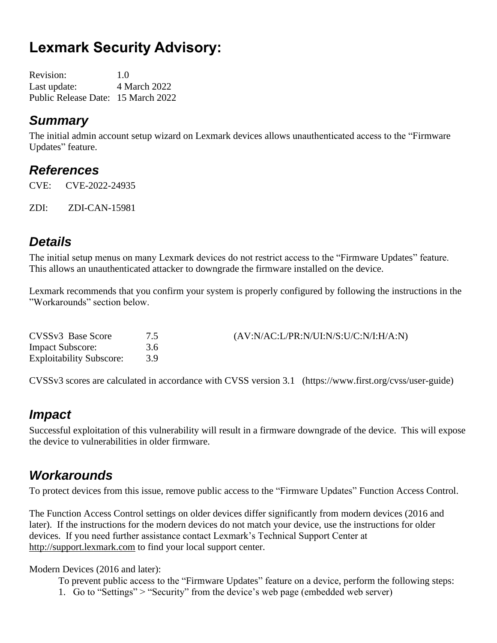# **Lexmark Security Advisory:**

| <b>Revision:</b>                   | 1.0          |
|------------------------------------|--------------|
| Last update:                       | 4 March 2022 |
| Public Release Date: 15 March 2022 |              |

### *Summary*

The initial admin account setup wizard on Lexmark devices allows unauthenticated access to the "Firmware Updates" feature.

### *References*

CVE: CVE-2022-24935

ZDI: ZDI-CAN-15981

### *Details*

The initial setup menus on many Lexmark devices do not restrict access to the "Firmware Updates" feature. This allows an unauthenticated attacker to downgrade the firmware installed on the device.

Lexmark recommends that you confirm your system is properly configured by following the instructions in the "Workarounds" section below.

| CVSSv3 Base Score               |     | (AV:N/AC:L/PR:N/UI:N/S:U/C:N/I:H/A:N) |
|---------------------------------|-----|---------------------------------------|
| <b>Impact Subscore:</b>         | 3.6 |                                       |
| <b>Exploitability Subscore:</b> | 39  |                                       |

CVSSv3 scores are calculated in accordance with CVSS version 3.1 (https://www.first.org/cvss/user-guide)

### *Impact*

Successful exploitation of this vulnerability will result in a firmware downgrade of the device. This will expose the device to vulnerabilities in older firmware.

### *Workarounds*

To protect devices from this issue, remove public access to the "Firmware Updates" Function Access Control.

The Function Access Control settings on older devices differ significantly from modern devices (2016 and later). If the instructions for the modern devices do not match your device, use the instructions for older devices. If you need further assistance contact Lexmark's Technical Support Center at [http://support.lexmark.com](http://support.lexmark.com/) to find your local support center.

#### Modern Devices (2016 and later):

To prevent public access to the "Firmware Updates" feature on a device, perform the following steps:

1. Go to "Settings" > "Security" from the device's web page (embedded web server)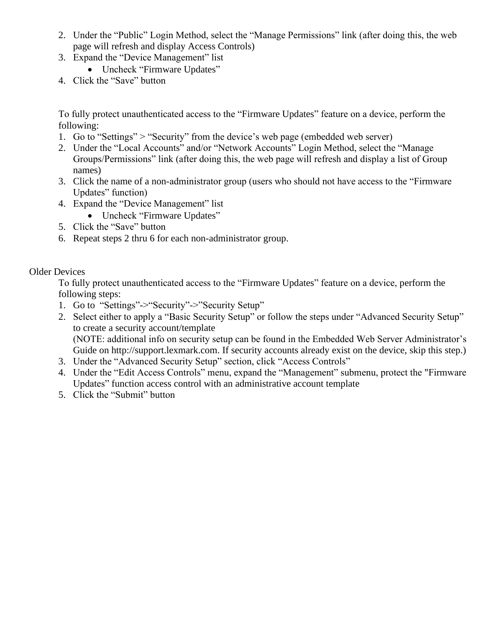- 2. Under the "Public" Login Method, select the "Manage Permissions" link (after doing this, the web page will refresh and display Access Controls)
- 3. Expand the "Device Management" list
	- Uncheck "Firmware Updates"
- 4. Click the "Save" button

To fully protect unauthenticated access to the "Firmware Updates" feature on a device, perform the following:

- 1. Go to "Settings" > "Security" from the device's web page (embedded web server)
- 2. Under the "Local Accounts" and/or "Network Accounts" Login Method, select the "Manage Groups/Permissions" link (after doing this, the web page will refresh and display a list of Group names)
- 3. Click the name of a non-administrator group (users who should not have access to the "Firmware Updates" function)
- 4. Expand the "Device Management" list
	- Uncheck "Firmware Updates"
- 5. Click the "Save" button
- 6. Repeat steps 2 thru 6 for each non-administrator group.

#### Older Devices

To fully protect unauthenticated access to the "Firmware Updates" feature on a device, perform the following steps:

- 1. Go to "Settings"->"Security"->"Security Setup"
- 2. Select either to apply a "Basic Security Setup" or follow the steps under "Advanced Security Setup" to create a security account/template (NOTE: additional info on security setup can be found in the Embedded Web Server Administrator's Guide on http://support.lexmark.com. If security accounts already exist on the device, skip this step.)
- 3. Under the "Advanced Security Setup" section, click "Access Controls"
- 4. Under the "Edit Access Controls" menu, expand the "Management" submenu, protect the "Firmware Updates" function access control with an administrative account template
- 5. Click the "Submit" button